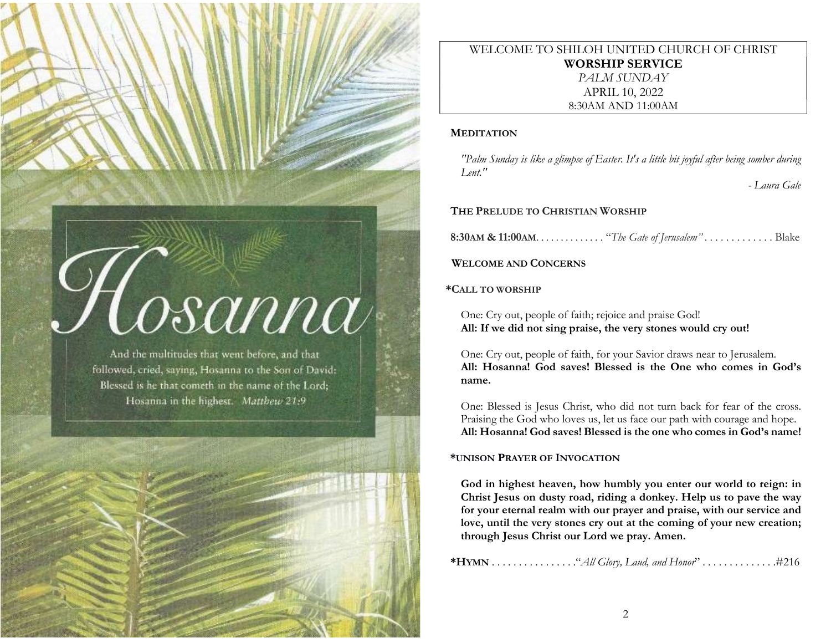# $\mathcal{G}$   $\alpha$   $\alpha$

And the multitudes that went before, and that followed, cried, saying, Hosanna to the Son of David: Blessed is he that cometh in the name of the Lord: Hosanna in the highest. Matthew 21:9

WELCOME TO SHILOH UNITED CHURCH OF CHRIST WORSHIP SERVICE PALM SUNDAY APRIL 10, 2022 8:30AM AND 11:00AM

#### **MEDITATION**

"Palm Sunday is like a glimpse of Easter. It's a little bit joyful after being somber during  $I$  ent."

- Laura Gale

## THE PRELUDE TO CHRISTIAN WORSHIP

8:30AM & 11:00AM. . . . . . . . . . . . . . "The Gate of Jerusalem" . . . . . . . . . . . . . Blake

## WELCOME AND CONCERNS

## \*CALL TO WORSHIP

One: Cry out, people of faith; rejoice and praise God! All: If we did not sing praise, the very stones would cry out!

One: Cry out, people of faith, for your Savior draws near to Jerusalem. All: Hosanna! God saves! Blessed is the One who comes in God's name.

One: Blessed is Jesus Christ, who did not turn back for fear of the cross. Praising the God who loves us, let us face our path with courage and hope. All: Hosanna! God saves! Blessed is the one who comes in God's name!

## \*UNISON PRAYER OF INVOCATION

God in highest heaven, how humbly you enter our world to reign: in Christ Jesus on dusty road, riding a donkey. Help us to pave the way for your eternal realm with our prayer and praise, with our service and love, until the very stones cry out at the coming of your new creation; through Jesus Christ our Lord we pray. Amen.

\*HYMN . . . . . . . . . . . . . . . ."All Glory, Laud, and Honor" . . . . . . . . . . . . . .#216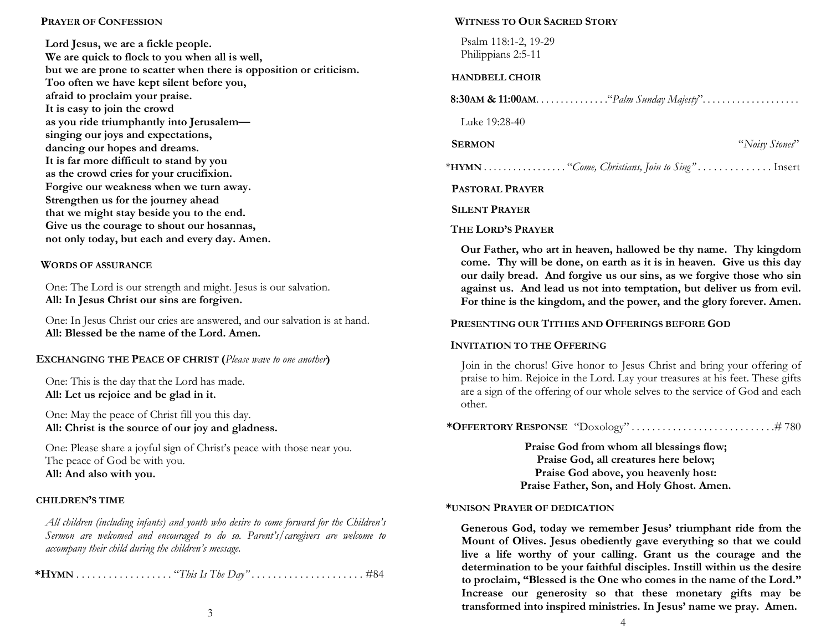#### PRAYER OF CONFESSION

Lord Jesus, we are a fickle people. We are quick to flock to you when all is well, but we are prone to scatter when there is opposition or criticism. Too often we have kept silent before you, afraid to proclaim your praise. It is easy to join the crowd as you ride triumphantly into Jerusalem singing our joys and expectations, dancing our hopes and dreams. It is far more difficult to stand by you as the crowd cries for your crucifixion. Forgive our weakness when we turn away. Strengthen us for the journey ahead that we might stay beside you to the end. Give us the courage to shout our hosannas, not only today, but each and every day. Amen.

#### WORDS OF ASSURANCE

One: The Lord is our strength and might. Jesus is our salvation. All: In Jesus Christ our sins are forgiven.

One: In Jesus Christ our cries are answered, and our salvation is at hand. All: Blessed be the name of the Lord. Amen.

#### EXCHANGING THE PEACE OF CHRIST (Please wave to one another)

One: This is the day that the Lord has made. All: Let us rejoice and be glad in it.

One: May the peace of Christ fill you this day. All: Christ is the source of our joy and gladness.

One: Please share a joyful sign of Christ's peace with those near you. The peace of God be with you. All: And also with you.

#### CHILDREN'S TIME

All children (including infants) and youth who desire to come forward for the Children's Sermon are welcomed and encouraged to do so. Parent's/caregivers are welcome to accompany their child during the children's message.

\*HYMN . . . . . . . . . . . . . . . . . . "This Is The Day" . . . . . . . . . . . . . . . . . . . . . #84

#### WITNESS TO OUR SACRED STORY

Psalm 118:1-2, 19-29 Philippians 2:5-11

#### HANDBELL CHOIR

| <b>8:30AM &amp; 11:00AM.</b> $\dots \dots \dots \dots$ "Palm Sunday Majesty". $\dots \dots \dots \dots \dots$ |                |  |
|---------------------------------------------------------------------------------------------------------------|----------------|--|
| Luke 19:28-40                                                                                                 |                |  |
| <b>SERMON</b>                                                                                                 | "Noisy Stones" |  |
|                                                                                                               |                |  |
| <b>PASTORAL PRAYER</b>                                                                                        |                |  |
| <b>SILENT PRAVER</b>                                                                                          |                |  |

#### THE LORD'S PRAYER

Our Father, who art in heaven, hallowed be thy name. Thy kingdom come. Thy will be done, on earth as it is in heaven. Give us this day our daily bread. And forgive us our sins, as we forgive those who sin against us. And lead us not into temptation, but deliver us from evil. For thine is the kingdom, and the power, and the glory forever. Amen.

#### PRESENTING OUR TITHES AND OFFERINGS BEFORE GOD

#### INVITATION TO THE OFFERING

Join in the chorus! Give honor to Jesus Christ and bring your offering of praise to him. Rejoice in the Lord. Lay your treasures at his feet. These gifts are a sign of the offering of our whole selves to the service of God and each other.

|--|--|--|

Praise God from whom all blessings flow; Praise God, all creatures here below; Praise God above, you heavenly host: Praise Father, Son, and Holy Ghost. Amen.

#### \*UNISON PRAYER OF DEDICATION

Generous God, today we remember Jesus' triumphant ride from the Mount of Olives. Jesus obediently gave everything so that we could live a life worthy of your calling. Grant us the courage and the determination to be your faithful disciples. Instill within us the desire to proclaim, "Blessed is the One who comes in the name of the Lord." Increase our generosity so that these monetary gifts may be transformed into inspired ministries. In Jesus' name we pray. Amen.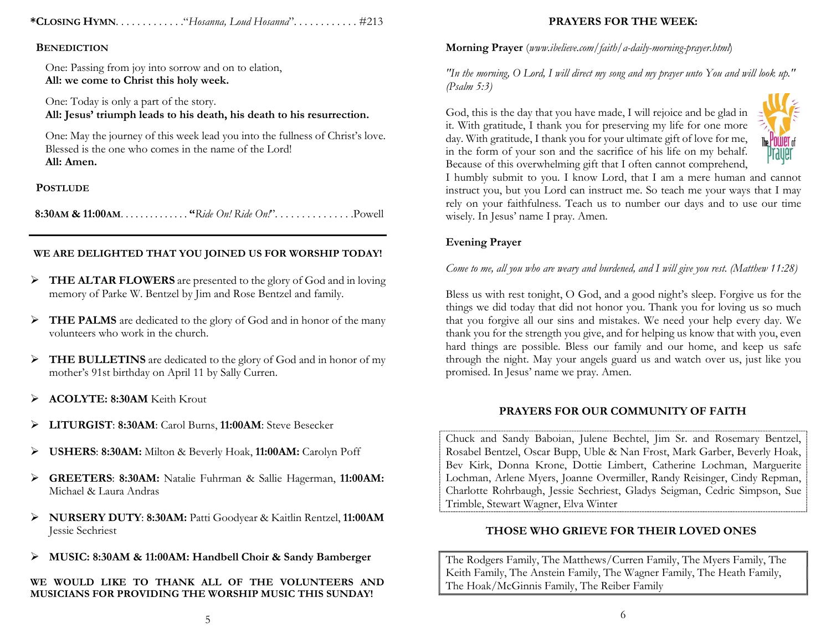\*CLOSING HYMN. . . . . . . . . . . . ."Hosanna, Loud Hosanna". . . . . . . . . . . . #213

#### **BENEDICTION**

One: Passing from joy into sorrow and on to elation, All: we come to Christ this holy week.

One: Today is only a part of the story. All: Jesus' triumph leads to his death, his death to his resurrection.

One: May the journey of this week lead you into the fullness of Christ's love. Blessed is the one who comes in the name of the Lord! All: Amen.

## **POSTLUDE**

8:30AM & 11:00AM. . . . . . . . . . . . . . "Ride On! Ride On!". . . . . . . . . . . . . . .Powell

## WE ARE DELIGHTED THAT YOU JOINED US FOR WORSHIP TODAY!

- FREE ALTAR FLOWERS are presented to the glory of God and in loving memory of Parke W. Bentzel by Jim and Rose Bentzel and family.
- > THE PALMS are dedicated to the glory of God and in honor of the many volunteers who work in the church.
- $\triangleright$  THE BULLETINS are dedicated to the glory of God and in honor of my mother's 91st birthday on April 11 by Sally Curren.
- > ACOLYTE: 8:30AM Keith Krout
- > LITURGIST: 8:30AM: Carol Burns, 11:00AM: Steve Besecker
- USHERS: 8:30AM: Milton & Beverly Hoak, 11:00AM: Carolyn Poff
- GREETERS: 8:30AM: Natalie Fuhrman & Sallie Hagerman, 11:00AM: Michael & Laura Andras
- NURSERY DUTY: 8:30AM: Patti Goodyear & Kaitlin Rentzel, 11:00AM Jessie Sechriest
- MUSIC: 8:30AM & 11:00AM: Handbell Choir & Sandy Bamberger

WE WOULD LIKE TO THANK ALL OF THE VOLUNTEERS AND MUSICIANS FOR PROVIDING THE WORSHIP MUSIC THIS SUNDAY!

## PRAYERS FOR THE WEEK:

Morning Prayer (www.ibelieve.com/faith/a-daily-morning-prayer.html)

"In the morning,  $O$  Lord, I will direct my song and my prayer unto You and will look up." (Psalm 5:3)

God, this is the day that you have made, I will rejoice and be glad in it. With gratitude, I thank you for preserving my life for one more day. With gratitude, I thank you for your ultimate gift of love for me, in the form of your son and the sacrifice of his life on my behalf. Because of this overwhelming gift that I often cannot comprehend,



I humbly submit to you. I know Lord, that I am a mere human and cannot instruct you, but you Lord can instruct me. So teach me your ways that I may rely on your faithfulness. Teach us to number our days and to use our time wisely. In Jesus' name I pray. Amen.

# Evening Prayer

Come to me, all you who are weary and burdened, and I will give you rest. (Matthew 11:28)

Bless us with rest tonight, O God, and a good night's sleep. Forgive us for the things we did today that did not honor you. Thank you for loving us so much that you forgive all our sins and mistakes. We need your help every day. We thank you for the strength you give, and for helping us know that with you, even hard things are possible. Bless our family and our home, and keep us safe through the night. May your angels guard us and watch over us, just like you promised. In Jesus' name we pray. Amen.

#### PRAYERS FOR OUR COMMUNITY OF FAITH

Chuck and Sandy Baboian, Julene Bechtel, Jim Sr. and Rosemary Bentzel, Rosabel Bentzel, Oscar Bupp, Uble & Nan Frost, Mark Garber, Beverly Hoak, Bev Kirk, Donna Krone, Dottie Limbert, Catherine Lochman, Marguerite Lochman, Arlene Myers, Joanne Overmiller, Randy Reisinger, Cindy Repman, Charlotte Rohrbaugh, Jessie Sechriest, Gladys Seigman, Cedric Simpson, Sue Trimble, Stewart Wagner, Elva Winter

## THOSE WHO GRIEVE FOR THEIR LOVED ONES

The Rodgers Family, The Matthews/Curren Family, The Myers Family, The Keith Family, The Anstein Family, The Wagner Family, The Heath Family, The Hoak/McGinnis Family, The Reiber Family